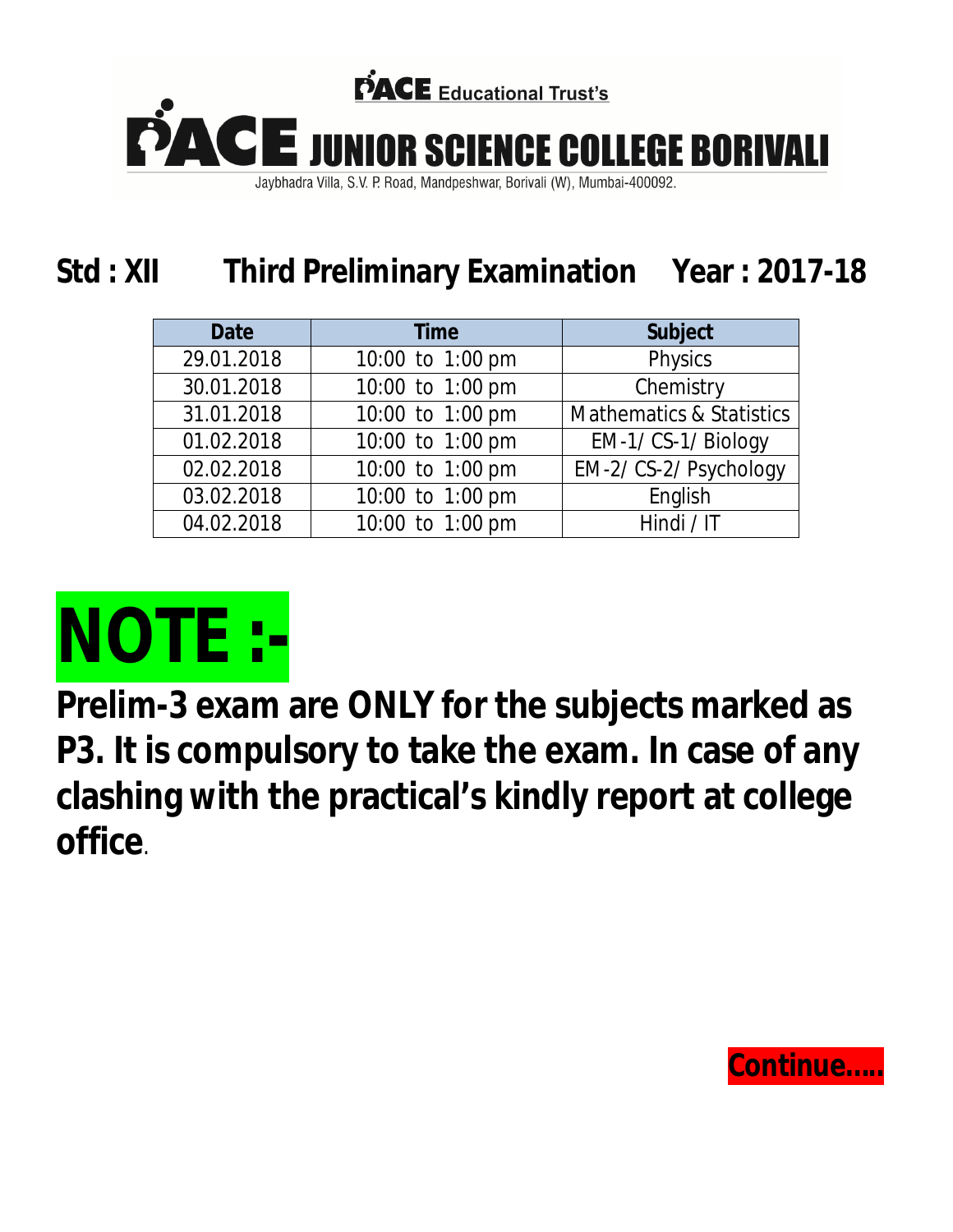

Jaybhadra Villa, S.V. P. Road, Mandpeshwar, Borivali (W), Mumbai-400092.

## **Std : XII Third Preliminary Examination Year : 2017-18**

| <b>Date</b> | <b>Time</b>      | <b>Subject</b>                      |
|-------------|------------------|-------------------------------------|
| 29.01.2018  | 10:00 to 1:00 pm | Physics                             |
| 30.01.2018  | 10:00 to 1:00 pm | Chemistry                           |
| 31.01.2018  | 10:00 to 1:00 pm | <b>Mathematics &amp; Statistics</b> |
| 01.02.2018  | 10:00 to 1:00 pm | EM-1/ CS-1/ Biology                 |
| 02.02.2018  | 10:00 to 1:00 pm | EM-2/ CS-2/ Psychology              |
| 03.02.2018  | 10:00 to 1:00 pm | English                             |
| 04.02.2018  | 10:00 to 1:00 pm | Hindi / IT                          |



**Prelim-3 exam are ONLY for the subjects marked as P3. It is compulsory to take the exam. In case of any clashing with the practical's kindly report at college office**.

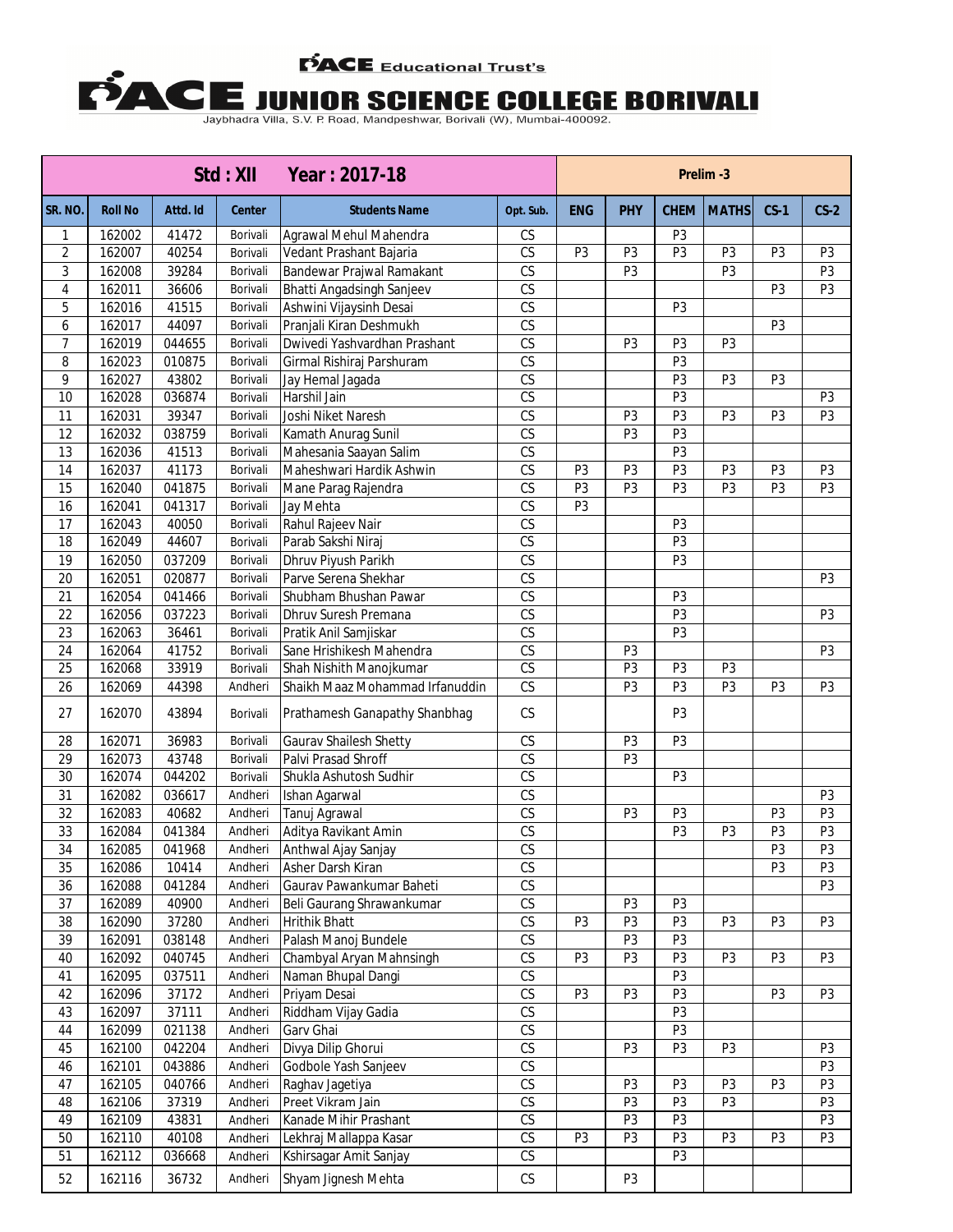## **PACE** Educational Trust's

## **E JUNIOR SCIENCE COLLEGE BORIVALI**<br>Jaybhadra Villa, S.V. P. Road, Mandpeshwar, Borivali (W), Mumbai-400092.

|                 |                |          | Std : XII     | Year: 2017-18                   |                        | Prelim-3       |                |                |                |                |                |
|-----------------|----------------|----------|---------------|---------------------------------|------------------------|----------------|----------------|----------------|----------------|----------------|----------------|
| SR. NO.         | <b>Roll No</b> | Attd. Id | <b>Center</b> | <b>Students Name</b>            | Opt. Sub.              | <b>ENG</b>     | <b>PHY</b>     | <b>CHEM</b>    | <b>MATHS</b>   | $CS-1$         | $CS-2$         |
| 1               | 162002         | 41472    | Borivali      | Agrawal Mehul Mahendra          | CS                     |                |                | P <sub>3</sub> |                |                |                |
| 2               | 162007         | 40254    | Borivali      | Vedant Prashant Bajaria         | $\overline{\text{CS}}$ | P <sub>3</sub> | P <sub>3</sub> | P <sub>3</sub> | P <sub>3</sub> | P <sub>3</sub> | P <sub>3</sub> |
| 3               | 162008         | 39284    | Borivali      | Bandewar Prajwal Ramakant       | $\overline{\text{CS}}$ |                | P <sub>3</sub> |                | P <sub>3</sub> |                | P <sub>3</sub> |
| $\overline{4}$  | 162011         | 36606    | Borivali      | Bhatti Angadsingh Sanjeev       | CS                     |                |                |                |                | P3             | P <sub>3</sub> |
| 5               | 162016         | 41515    | Borivali      | Ashwini Vijaysinh Desai         | $\overline{\text{CS}}$ |                |                | P <sub>3</sub> |                |                |                |
| 6               | 162017         | 44097    | Borivali      | Pranjali Kiran Deshmukh         | CS                     |                |                |                |                | P3             |                |
| 7               | 162019         | 044655   | Borivali      | Dwivedi Yashvardhan Prashant    | CS                     |                | P <sub>3</sub> | P <sub>3</sub> | P <sub>3</sub> |                |                |
| 8               | 162023         | 010875   | Borivali      | Girmal Rishiraj Parshuram       | CS                     |                |                | P <sub>3</sub> |                |                |                |
| 9               | 162027         | 43802    | Borivali      | Jay Hemal Jagada                | $\overline{\text{CS}}$ |                |                | P <sub>3</sub> | P3             | P <sub>3</sub> |                |
| 10              | 162028         | 036874   | Borivali      | Harshil Jain                    | $\overline{\text{CS}}$ |                |                | P <sub>3</sub> |                |                | P <sub>3</sub> |
| 11              | 162031         | 39347    | Borivali      | Joshi Niket Naresh              | $\overline{\text{CS}}$ |                | P <sub>3</sub> | P <sub>3</sub> | P <sub>3</sub> | P <sub>3</sub> | P <sub>3</sub> |
| 12              | 162032         | 038759   | Borivali      | Kamath Anurag Sunil             | $\overline{\text{CS}}$ |                | P <sub>3</sub> | P <sub>3</sub> |                |                |                |
| 13              | 162036         | 41513    | Borivali      | Mahesania Saayan Salim          | $\overline{\text{CS}}$ |                |                | P <sub>3</sub> |                |                |                |
| 14              | 162037         | 41173    | Borivali      | Maheshwari Hardik Ashwin        | $\mathbb{C}\mathsf{S}$ | P <sub>3</sub> | P <sub>3</sub> | P <sub>3</sub> | P <sub>3</sub> | P <sub>3</sub> | P <sub>3</sub> |
| 15              | 162040         | 041875   | Borivali      | Mane Parag Rajendra             | $\overline{\text{CS}}$ | P3             | P <sub>3</sub> | P <sub>3</sub> | P <sub>3</sub> | P <sub>3</sub> | P <sub>3</sub> |
| 16              | 162041         | 041317   | Borivali      | Jay Mehta                       | $\overline{\text{CS}}$ | P3             |                |                |                |                |                |
| 17              | 162043         | 40050    | Borivali      | Rahul Rajeev Nair               | $\overline{\text{CS}}$ |                |                | P <sub>3</sub> |                |                |                |
| 18              | 162049         | 44607    | Borivali      | Parab Sakshi Niraj              | $\overline{\text{CS}}$ |                |                | P <sub>3</sub> |                |                |                |
| 19              | 162050         | 037209   | Borivali      | Dhruv Piyush Parikh             | $\overline{\text{CS}}$ |                |                | P <sub>3</sub> |                |                |                |
| $\overline{20}$ | 162051         | 020877   | Borivali      | Parve Serena Shekhar            | $\overline{\text{CS}}$ |                |                |                |                |                | P <sub>3</sub> |
| 21              | 162054         | 041466   | Borivali      | Shubham Bhushan Pawar           | CS                     |                |                | P <sub>3</sub> |                |                |                |
| $\overline{22}$ | 162056         | 037223   | Borivali      | Dhruv Suresh Premana            | CS                     |                |                | P3             |                |                | P <sub>3</sub> |
| $\overline{23}$ | 162063         | 36461    | Borivali      | Pratik Anil Samjiskar           | $\overline{\text{CS}}$ |                |                | P <sub>3</sub> |                |                |                |
| $\overline{24}$ | 162064         | 41752    | Borivali      | Sane Hrishikesh Mahendra        | CS                     |                | P3             |                |                |                | P <sub>3</sub> |
| 25              | 162068         | 33919    | Borivali      | Shah Nishith Manojkumar         | $\overline{\text{CS}}$ |                | P <sub>3</sub> | P <sub>3</sub> | P <sub>3</sub> |                |                |
| 26              | 162069         | 44398    | Andheri       | Shaikh Maaz Mohammad Irfanuddin | CS                     |                | P <sub>3</sub> | P <sub>3</sub> | P <sub>3</sub> | P <sub>3</sub> | P <sub>3</sub> |
| 27              | 162070         | 43894    | Borivali      | Prathamesh Ganapathy Shanbhag   | CS                     |                |                | P3             |                |                |                |
| 28              | 162071         | 36983    | Borivali      | Gaurav Shailesh Shetty          | $\mathbb{C}\mathsf{S}$ |                | P3             | P3             |                |                |                |
| 29              | 162073         | 43748    | Borivali      | Palvi Prasad Shroff             | $\overline{\text{CS}}$ |                | P <sub>3</sub> |                |                |                |                |
| 30              | 162074         | 044202   | Borivali      | Shukla Ashutosh Sudhir          | $\overline{\text{CS}}$ |                |                | P <sub>3</sub> |                |                |                |
| 31              | 162082         | 036617   | Andheri       | Ishan Agarwal                   | $\overline{\text{CS}}$ |                |                |                |                |                | P <sub>3</sub> |
| 32              | 162083         | 40682    | Andheri       | Tanuj Agrawal                   | $\overline{\text{CS}}$ |                | P <sub>3</sub> | P <sub>3</sub> |                | P <sub>3</sub> | P <sub>3</sub> |
| 33              | 162084         | 041384   | Andheri       | Aditya Ravikant Amin            | $\overline{\text{CS}}$ |                |                | P <sub>3</sub> | P <sub>3</sub> | P <sub>3</sub> | P <sub>3</sub> |
| $\overline{34}$ | 162085         | 041968   | Andheri       | Anthwal Ajay Sanjay             | $\overline{\text{CS}}$ |                |                |                |                | P3             | P3             |
| 35              | 162086         | 10414    | Andheri       | Asher Darsh Kiran               | CS                     |                |                |                |                | P <sub>3</sub> | P3             |
| 36              | 162088         | 041284   | Andheri       | Gaurav Pawankumar Baheti        | CS                     |                |                |                |                |                | P <sub>3</sub> |
| $\overline{37}$ | 162089         | 40900    | Andheri       | Beli Gaurang Shrawankumar       | CS                     |                | P3             | P <sub>3</sub> |                |                |                |
| 38              | 162090         | 37280    | Andheri       | <b>Hrithik Bhatt</b>            | CS                     | P <sub>3</sub> | P3             | P <sub>3</sub> | P <sub>3</sub> | P <sub>3</sub> | P <sub>3</sub> |
| 39              | 162091         | 038148   | Andheri       | Palash Manoj Bundele            | $\overline{\text{CS}}$ |                | P3             | P <sub>3</sub> |                |                |                |
| 40              | 162092         | 040745   | Andheri       | Chambyal Aryan Mahnsingh        | CS                     | P3             | P3             | P <sub>3</sub> | P <sub>3</sub> | P <sub>3</sub> | P <sub>3</sub> |
| 41              | 162095         | 037511   | Andheri       | Naman Bhupal Dangi              | CS                     |                |                | P <sub>3</sub> |                |                |                |
| 42              | 162096         | 37172    | Andheri       | Priyam Desai                    | $\overline{\text{CS}}$ | P3             | P3             | P3             |                | P <sub>3</sub> | P <sub>3</sub> |
| 43              | 162097         | 37111    | Andheri       | Riddham Vijay Gadia             | $\mathbb{C}\mathsf{S}$ |                |                | P3             |                |                |                |
| 44              | 162099         | 021138   | Andheri       | Garv Ghai                       | $\mathbb{C}\mathsf{S}$ |                |                | P3             |                |                |                |
| 45              | 162100         | 042204   | Andheri       | Divya Dilip Ghorui              | $\overline{\text{CS}}$ |                | P <sub>3</sub> | P3             | P3             |                | P <sub>3</sub> |
| 46              | 162101         | 043886   | Andheri       | Godbole Yash Sanjeev            | $\overline{\text{CS}}$ |                |                |                |                |                | P <sub>3</sub> |
| 47              | 162105         | 040766   | Andheri       | Raghav Jagetiya                 | $\mathbb{C}\mathsf{S}$ |                | P <sub>3</sub> | P <sub>3</sub> | P <sub>3</sub> | P <sub>3</sub> | P <sub>3</sub> |
| 48              | 162106         | 37319    | Andheri       | Preet Vikram Jain               | $\overline{\text{CS}}$ |                | P3             | P <sub>3</sub> | P3             |                | P <sub>3</sub> |
| 49              | 162109         | 43831    | Andheri       | Kanade Mihir Prashant           | CS                     |                | P <sub>3</sub> | P3             |                |                | P <sub>3</sub> |
| 50              | 162110         | 40108    | Andheri       | Lekhraj Mallappa Kasar          | CS                     | P3             | P <sub>3</sub> | P3             | P3             | P <sub>3</sub> | P <sub>3</sub> |
| 51              | 162112         | 036668   | Andheri       | Kshirsagar Amit Sanjay          | CS                     |                |                | P3             |                |                |                |
| 52              | 162116         | 36732    | Andheri       | Shyam Jignesh Mehta             | $\mathbb{C}\mathsf{S}$ |                | P3             |                |                |                |                |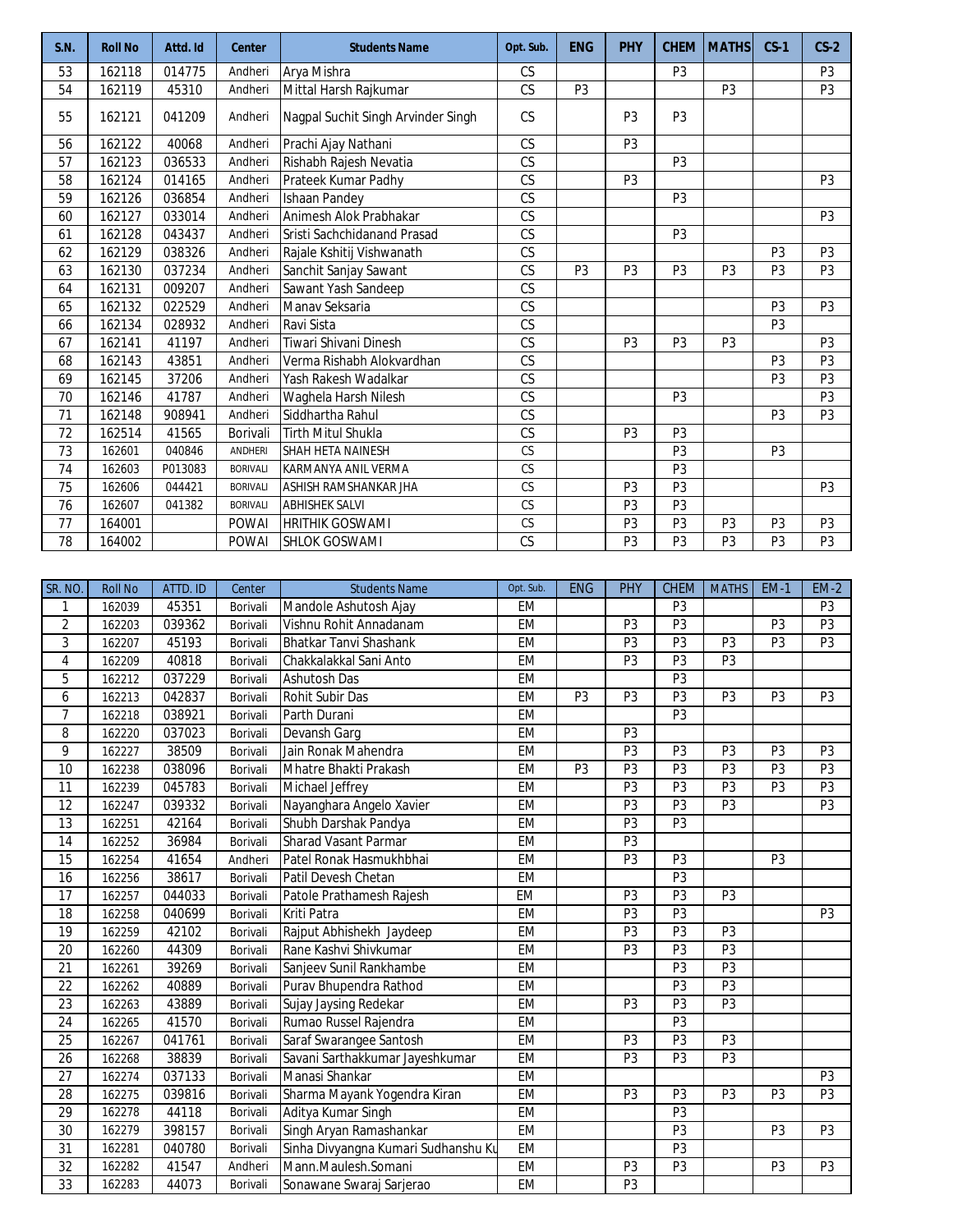| S.N. | <b>Roll No</b> | Attd. Id | <b>Center</b>   | <b>Students Name</b>               | Opt. Sub.              | <b>ENG</b>     | <b>PHY</b>     | <b>CHEM</b>    | <b>MATHS</b>   | $CS-1$         | $CS-2$         |
|------|----------------|----------|-----------------|------------------------------------|------------------------|----------------|----------------|----------------|----------------|----------------|----------------|
| 53   | 162118         | 014775   | Andheri         | Arya Mishra                        | <b>CS</b>              |                |                | P <sub>3</sub> |                |                | P <sub>3</sub> |
| 54   | 162119         | 45310    | Andheri         | Mittal Harsh Rajkumar              | <b>CS</b>              | P <sub>3</sub> |                |                | P <sub>3</sub> |                | P <sub>3</sub> |
| 55   | 162121         | 041209   | Andheri         | Nagpal Suchit Singh Arvinder Singh | <b>CS</b>              |                | P <sub>3</sub> | P <sub>3</sub> |                |                |                |
| 56   | 162122         | 40068    | Andheri         | Prachi Ajay Nathani                | CS                     |                | P <sub>3</sub> |                |                |                |                |
| 57   | 162123         | 036533   | Andheri         | Rishabh Rajesh Nevatia             | <b>CS</b>              |                |                | P <sub>3</sub> |                |                |                |
| 58   | 162124         | 014165   | Andheri         | Prateek Kumar Padhy                | $\overline{\text{CS}}$ |                | P <sub>3</sub> |                |                |                | P <sub>3</sub> |
| 59   | 162126         | 036854   | Andheri         | Ishaan Pandey                      | $\overline{\text{CS}}$ |                |                | P <sub>3</sub> |                |                |                |
| 60   | 162127         | 033014   | Andheri         | Animesh Alok Prabhakar             | $\overline{\text{CS}}$ |                |                |                |                |                | P <sub>3</sub> |
| 61   | 162128         | 043437   | Andheri         | Sristi Sachchidanand Prasad        | $\overline{\text{CS}}$ |                |                | P <sub>3</sub> |                |                |                |
| 62   | 162129         | 038326   | Andheri         | Rajale Kshitij Vishwanath          | <b>CS</b>              |                |                |                |                | P <sub>3</sub> | P <sub>3</sub> |
| 63   | 162130         | 037234   | Andheri         | Sanchit Sanjay Sawant              | $\overline{\text{CS}}$ | P <sub>3</sub> | P <sub>3</sub> | P <sub>3</sub> | P <sub>3</sub> | P <sub>3</sub> | P <sub>3</sub> |
| 64   | 162131         | 009207   | Andheri         | Sawant Yash Sandeep                | $\overline{\text{CS}}$ |                |                |                |                |                |                |
| 65   | 162132         | 022529   | Andheri         | Manav Seksaria                     | CS                     |                |                |                |                | P <sub>3</sub> | P <sub>3</sub> |
| 66   | 162134         | 028932   | Andheri         | Ravi Sista                         | $\overline{\text{CS}}$ |                |                |                |                | P <sub>3</sub> |                |
| 67   | 162141         | 41197    | Andheri         | Tiwari Shivani Dinesh              | <b>CS</b>              |                | P <sub>3</sub> | P <sub>3</sub> | P <sub>3</sub> |                | P <sub>3</sub> |
| 68   | 162143         | 43851    | Andheri         | Verma Rishabh Alokvardhan          | CS                     |                |                |                |                | P <sub>3</sub> | P <sub>3</sub> |
| 69   | 162145         | 37206    | Andheri         | Yash Rakesh Wadalkar               | $\overline{\text{CS}}$ |                |                |                |                | P <sub>3</sub> | P <sub>3</sub> |
| 70   | 162146         | 41787    | Andheri         | Waghela Harsh Nilesh               | CS                     |                |                | P <sub>3</sub> |                |                | P <sub>3</sub> |
| 71   | 162148         | 908941   | Andheri         | Siddhartha Rahul                   | $\overline{\text{CS}}$ |                |                |                |                | P <sub>3</sub> | P <sub>3</sub> |
| 72   | 162514         | 41565    | Borivali        | <b>Tirth Mitul Shukla</b>          | <b>CS</b>              |                | P <sub>3</sub> | P <sub>3</sub> |                |                |                |
| 73   | 162601         | 040846   | ANDHERI         | SHAH HETA NAINESH                  | CS                     |                |                | P <sub>3</sub> |                | P <sub>3</sub> |                |
| 74   | 162603         | P013083  | <b>BORIVALI</b> | KARMANYA ANIL VERMA                | CS                     |                |                | P <sub>3</sub> |                |                |                |
| 75   | 162606         | 044421   | <b>BORIVALI</b> | ASHISH RAMSHANKAR JHA              | CS                     |                | P <sub>3</sub> | P <sub>3</sub> |                |                | P <sub>3</sub> |
| 76   | 162607         | 041382   | <b>BORIVALI</b> | <b>ABHISHEK SALVI</b>              | CS                     |                | P <sub>3</sub> | P <sub>3</sub> |                |                |                |
| 77   | 164001         |          | <b>POWAI</b>    | <b>HRITHIK GOSWAMI</b>             | <b>CS</b>              |                | P <sub>3</sub> | P <sub>3</sub> | P <sub>3</sub> | P <sub>3</sub> | P <sub>3</sub> |
| 78   | 164002         |          | <b>POWAI</b>    | <b>SHLOK GOSWAMI</b>               | <b>CS</b>              |                | P <sub>3</sub> | P <sub>3</sub> | P <sub>3</sub> | P <sub>3</sub> | P3             |

| SR. NO.         | <b>Roll No</b> | ATTD. ID | Center   | <b>Students Name</b>                | Opt. Sub. | <b>ENG</b>     | PHY            | <b>CHEM</b>    | <b>MATHS</b>   | $EM-1$         | $EM-2$         |
|-----------------|----------------|----------|----------|-------------------------------------|-----------|----------------|----------------|----------------|----------------|----------------|----------------|
| 1               | 162039         | 45351    | Borivali | Mandole Ashutosh Ajay               | EM        |                |                | P <sub>3</sub> |                |                | P3             |
| $\overline{2}$  | 162203         | 039362   | Borivali | Vishnu Rohit Annadanam              | <b>EM</b> |                | P <sub>3</sub> | P <sub>3</sub> |                | P <sub>3</sub> | P <sub>3</sub> |
| 3               | 162207         | 45193    | Borivali | Bhatkar Tanvi Shashank              | EM        |                | P <sub>3</sub> | P <sub>3</sub> | P <sub>3</sub> | P <sub>3</sub> | P3             |
| 4               | 162209         | 40818    | Borivali | Chakkalakkal Sani Anto              | EM        |                | P <sub>3</sub> | P <sub>3</sub> | P <sub>3</sub> |                |                |
| 5               | 162212         | 037229   | Borivali | Ashutosh Das                        | EM        |                |                | P <sub>3</sub> |                |                |                |
| 6               | 162213         | 042837   | Borivali | Rohit Subir Das                     | <b>EM</b> | P <sub>3</sub> | P3             | $\overline{P}$ | P3             | P3             | P <sub>3</sub> |
| $\overline{7}$  | 162218         | 038921   | Borivali | Parth Durani                        | <b>EM</b> |                |                | P <sub>3</sub> |                |                |                |
| 8               | 162220         | 037023   | Borivali | Devansh Garg                        | <b>EM</b> |                | P <sub>3</sub> |                |                |                |                |
| 9               | 162227         | 38509    | Borivali | Jain Ronak Mahendra                 | EM        |                | P <sub>3</sub> | P <sub>3</sub> | P <sub>3</sub> | P <sub>3</sub> | P <sub>3</sub> |
| 10              | 162238         | 038096   | Borivali | Mhatre Bhakti Prakash               | <b>EM</b> | P <sub>3</sub> | P <sub>3</sub> | P <sub>3</sub> | P <sub>3</sub> | P <sub>3</sub> | P <sub>3</sub> |
| 11              | 162239         | 045783   | Borivali | Michael Jeffrey                     | EM        |                | P <sub>3</sub> | P <sub>3</sub> | P <sub>3</sub> | P <sub>3</sub> | P3             |
| 12              | 162247         | 039332   | Borivali | Nayanghara Angelo Xavier            | EM        |                | P <sub>3</sub> | P <sub>3</sub> | P <sub>3</sub> |                | P <sub>3</sub> |
| 13              | 162251         | 42164    | Borivali | Shubh Darshak Pandya                | <b>EM</b> |                | P <sub>3</sub> | $\overline{P}$ |                |                |                |
| 14              | 162252         | 36984    | Borivali | <b>Sharad Vasant Parmar</b>         | EM        |                | P <sub>3</sub> |                |                |                |                |
| 15              | 162254         | 41654    | Andheri  | Patel Ronak Hasmukhbhai             | <b>EM</b> |                | P <sub>3</sub> | P <sub>3</sub> |                | P <sub>3</sub> |                |
| 16              | 162256         | 38617    | Borivali | Patil Devesh Chetan                 | EM        |                |                | P <sub>3</sub> |                |                |                |
| 17              | 162257         | 044033   | Borivali | Patole Prathamesh Rajesh            | <b>EM</b> |                | P <sub>3</sub> | $\overline{P}$ | P <sub>3</sub> |                |                |
| 18              | 162258         | 040699   | Borivali | Kriti Patra                         | <b>EM</b> |                | P <sub>3</sub> | P <sub>3</sub> |                |                | P <sub>3</sub> |
| 19              | 162259         | 42102    | Borivali | Rajput Abhishekh Jaydeep            | EM        |                | P <sub>3</sub> | P <sub>3</sub> | P <sub>3</sub> |                |                |
| 20              | 162260         | 44309    | Borivali | Rane Kashvi Shivkumar               | EM        |                | P <sub>3</sub> | P <sub>3</sub> | P <sub>3</sub> |                |                |
| 21              | 162261         | 39269    | Borivali | Sanjeev Sunil Rankhambe             | EM        |                |                | P <sub>3</sub> | P <sub>3</sub> |                |                |
| $\overline{22}$ | 162262         | 40889    | Borivali | Purav Bhupendra Rathod              | EM        |                |                | $\overline{P}$ | P3             |                |                |
| 23              | 162263         | 43889    | Borivali | Sujay Jaysing Redekar               | <b>EM</b> |                | P <sub>3</sub> | P <sub>3</sub> | P <sub>3</sub> |                |                |
| 24              | 162265         | 41570    | Borivali | Rumao Russel Rajendra               | EM        |                |                | P <sub>3</sub> |                |                |                |
| 25              | 162267         | 041761   | Borivali | Saraf Swarangee Santosh             | <b>EM</b> |                | P <sub>3</sub> | P <sub>3</sub> | P <sub>3</sub> |                |                |
| 26              | 162268         | 38839    | Borivali | Savani Sarthakkumar Jayeshkumar     | EM        |                | P <sub>3</sub> | P <sub>3</sub> | P <sub>3</sub> |                |                |
| 27              | 162274         | 037133   | Borivali | Manasi Shankar                      | EM        |                |                |                |                |                | P <sub>3</sub> |
| 28              | 162275         | 039816   | Borivali | Sharma Mayank Yogendra Kiran        | <b>EM</b> |                | P <sub>3</sub> | P <sub>3</sub> | P <sub>3</sub> | P <sub>3</sub> | P <sub>3</sub> |
| $\overline{29}$ | 162278         | 44118    | Borivali | Aditya Kumar Singh                  | <b>EM</b> |                |                | P <sub>3</sub> |                |                |                |
| 30              | 162279         | 398157   | Borivali | Singh Aryan Ramashankar             | <b>EM</b> |                |                | P <sub>3</sub> |                | P <sub>3</sub> | P <sub>3</sub> |
| 31              | 162281         | 040780   | Borivali | Sinha Divyangna Kumari Sudhanshu Ku | EM        |                |                | P <sub>3</sub> |                |                |                |
| $\overline{32}$ | 162282         | 41547    | Andheri  | Mann.Maulesh.Somani                 | <b>EM</b> |                | P <sub>3</sub> | P3             |                | P3             | P3             |
| 33              | 162283         | 44073    | Borivali | Sonawane Swaraj Sarjerao            | <b>EM</b> |                | P <sub>3</sub> |                |                |                |                |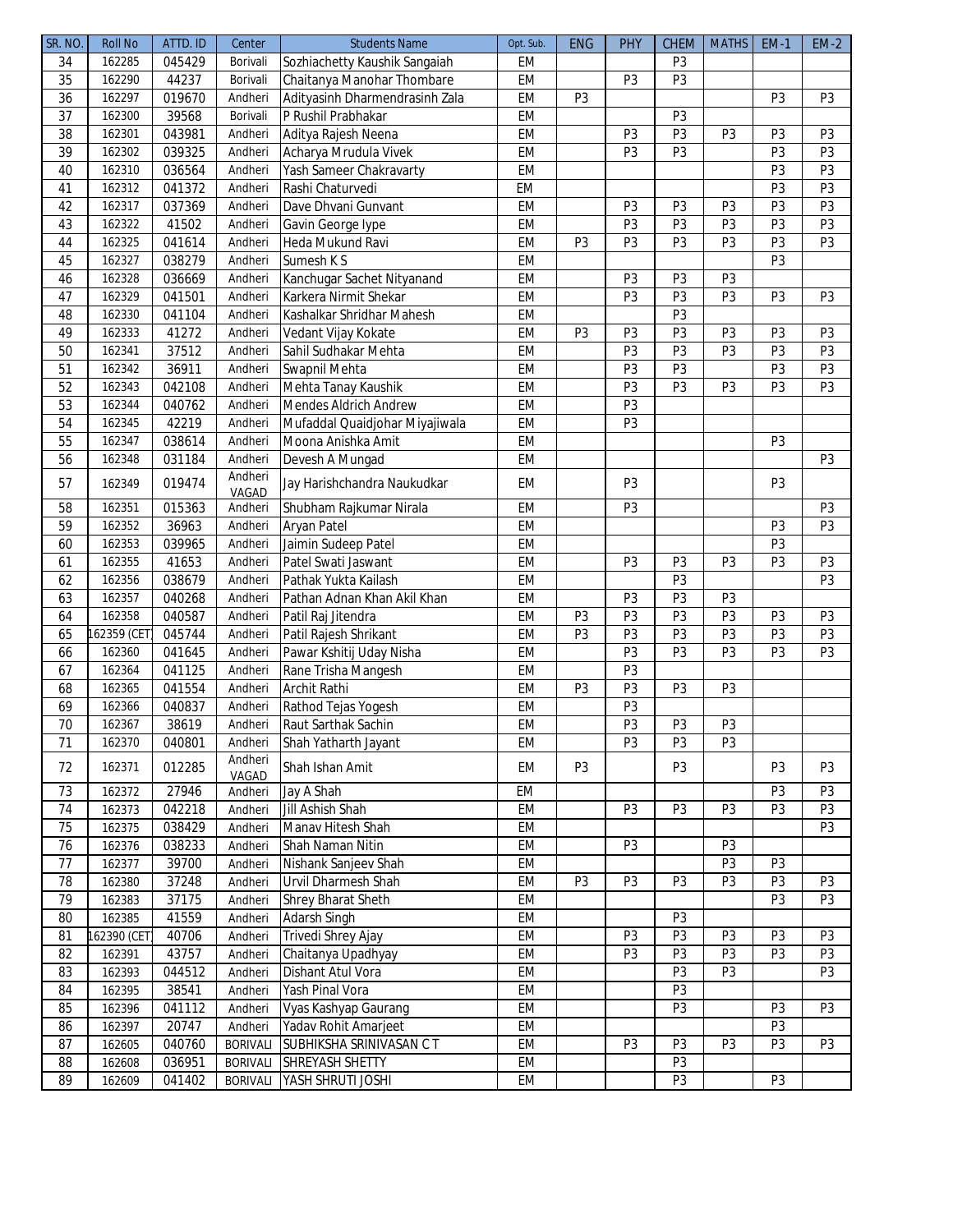| SR. NO.         | <b>Roll No</b> | ATTD. ID | Center          | <b>Students Name</b>           | Opt. Sub. | <b>ENG</b>     | <b>PHY</b>     | CHEM           | <b>MATHS</b>   | <b>EM-1</b>    | $EM-2$         |
|-----------------|----------------|----------|-----------------|--------------------------------|-----------|----------------|----------------|----------------|----------------|----------------|----------------|
| 34              | 162285         | 045429   | Borivali        | Sozhiachetty Kaushik Sangaiah  | EM        |                |                | P <sub>3</sub> |                |                |                |
| 35              | 162290         | 44237    | Borivali        | Chaitanya Manohar Thombare     | EM        |                | P <sub>3</sub> | P <sub>3</sub> |                |                |                |
| 36              | 162297         | 019670   | Andheri         | Adityasinh Dharmendrasinh Zala | EM        | P <sub>3</sub> |                |                |                | P3             | P <sub>3</sub> |
| 37              | 162300         | 39568    | Borivali        | P Rushil Prabhakar             | EM        |                |                | P <sub>3</sub> |                |                |                |
| $\overline{38}$ | 162301         | 043981   | Andheri         | Aditya Rajesh Neena            | EM        |                | P <sub>3</sub> | P <sub>3</sub> | P <sub>3</sub> | P <sub>3</sub> | P <sub>3</sub> |
| 39              | 162302         | 039325   | Andheri         | Acharya Mrudula Vivek          | EM        |                | P <sub>3</sub> | P3             |                | P <sub>3</sub> | P3             |
| 40              | 162310         | 036564   | Andheri         | Yash Sameer Chakravarty        | EM        |                |                |                |                | P3             | P3             |
| 41              | 162312         | 041372   | Andheri         | Rashi Chaturvedi               | <b>EM</b> |                |                |                |                | P <sub>3</sub> | P <sub>3</sub> |
| 42              | 162317         | 037369   | Andheri         | Dave Dhvani Gunvant            | EM        |                | P <sub>3</sub> | P <sub>3</sub> | P <sub>3</sub> | P <sub>3</sub> | P3             |
| 43              | 162322         | 41502    | Andheri         | Gavin George lype              | EM        |                | P <sub>3</sub> | P3             | P <sub>3</sub> | P3             | P3             |
| 44              | 162325         | 041614   | Andheri         | Heda Mukund Ravi               | EM        | P <sub>3</sub> | P <sub>3</sub> | P <sub>3</sub> | P <sub>3</sub> | P3             | P <sub>3</sub> |
| 45              | 162327         | 038279   | Andheri         | Sumesh K S                     | EM        |                |                |                |                | P <sub>3</sub> |                |
| 46              | 162328         | 036669   | Andheri         | Kanchugar Sachet Nityanand     | EM        |                | P <sub>3</sub> | P <sub>3</sub> | P3             |                |                |
| 47              | 162329         | 041501   | Andheri         | Karkera Nirmit Shekar          | EM        |                | P <sub>3</sub> | P <sub>3</sub> | P3             | P3             | P <sub>3</sub> |
| 48              | 162330         | 041104   | Andheri         | Kashalkar Shridhar Mahesh      | EM        |                |                | P <sub>3</sub> |                |                |                |
| 49              | 162333         | 41272    | Andheri         | Vedant Vijay Kokate            | EM        | P <sub>3</sub> | P <sub>3</sub> | P <sub>3</sub> | P3             | P3             | P3             |
| 50              | 162341         | 37512    | Andheri         | Sahil Sudhakar Mehta           | EM        |                | P <sub>3</sub> | P <sub>3</sub> | P <sub>3</sub> | P <sub>3</sub> | P <sub>3</sub> |
| 51              | 162342         | 36911    | Andheri         | Swapnil Mehta                  | EM        |                | P <sub>3</sub> | P3             |                | P3             | P3             |
| 52              | 162343         | 042108   | Andheri         | Mehta Tanay Kaushik            | EM        |                | P <sub>3</sub> | P <sub>3</sub> | P3             | P <sub>3</sub> | P <sub>3</sub> |
| 53              | 162344         | 040762   | Andheri         | <b>Mendes Aldrich Andrew</b>   | EM        |                | P <sub>3</sub> |                |                |                |                |
| 54              | 162345         | 42219    | Andheri         | Mufaddal Quaidjohar Miyajiwala | EM        |                | P <sub>3</sub> |                |                |                |                |
| 55              | 162347         | 038614   | Andheri         | Moona Anishka Amit             | EM        |                |                |                |                | P3             |                |
| 56              | 162348         | 031184   | Andheri         | Devesh A Mungad                | EM        |                |                |                |                |                | P3             |
|                 |                |          | Andheri         |                                |           |                |                |                |                |                |                |
| 57              | 162349         | 019474   | VAGAD           | Jay Harishchandra Naukudkar    | EM        |                | P <sub>3</sub> |                |                | P <sub>3</sub> |                |
| 58              | 162351         | 015363   | Andheri         | Shubham Rajkumar Nirala        | EM        |                | P <sub>3</sub> |                |                |                | P <sub>3</sub> |
| $\overline{59}$ | 162352         | 36963    | Andheri         | Aryan Patel                    | EM        |                |                |                |                | P <sub>3</sub> | P3             |
| 60              | 162353         | 039965   | Andheri         | Jaimin Sudeep Patel            | EM        |                |                |                |                | P3             |                |
| 61              | 162355         | 41653    | Andheri         | Patel Swati Jaswant            | EM        |                | P <sub>3</sub> | P <sub>3</sub> | P <sub>3</sub> | P3             | P3             |
| 62              | 162356         | 038679   | Andheri         | Pathak Yukta Kailash           | EM        |                |                | P <sub>3</sub> |                |                | P3             |
| 63              | 162357         | 040268   | Andheri         | Pathan Adnan Khan Akil Khan    | EM        |                | P <sub>3</sub> | P <sub>3</sub> | P <sub>3</sub> |                |                |
| 64              | 162358         | 040587   | Andheri         | Patil Raj Jitendra             | EM        | P <sub>3</sub> | P3             | P3             | P <sub>3</sub> | P3             | P <sub>3</sub> |
| 65              | 162359 (CET    | 045744   | Andheri         | Patil Rajesh Shrikant          | EM        | P <sub>3</sub> | P <sub>3</sub> | P <sub>3</sub> | P <sub>3</sub> | P3             | P3             |
| 66              | 162360         | 041645   | Andheri         | Pawar Kshitij Uday Nisha       | EM        |                | P <sub>3</sub> | P3             | P <sub>3</sub> | P <sub>3</sub> | P <sub>3</sub> |
| 67              | 162364         | 041125   | Andheri         | Rane Trisha Mangesh            | EM        |                | P <sub>3</sub> |                |                |                |                |
| 68              | 162365         | 041554   | Andheri         | Archit Rathi                   | EM        | P <sub>3</sub> | P <sub>3</sub> | P <sub>3</sub> | P <sub>3</sub> |                |                |
| 69              | 162366         | 040837   | Andheri         | Rathod Tejas Yogesh            | EM        |                | P3             |                |                |                |                |
| $\overline{70}$ | 162367         | 38619    | Andheri         | Raut Sarthak Sachin            | EM        |                | P3             | P <sub>3</sub> | P3             |                |                |
| 71              | 162370         | 040801   | Andheri         | Shah Yatharth Jayant           | EM        |                | P3             | P <sub>3</sub> | P <sub>3</sub> |                |                |
| 72              | 162371         | 012285   | Andheri         | Shah Ishan Amit                | EM        | P <sub>3</sub> |                | P <sub>3</sub> |                | P3             | P <sub>3</sub> |
|                 |                |          | VAGAD           |                                |           |                |                |                |                |                |                |
| 73              | 162372         | 27946    | Andheri         | Jay A Shah                     | EM        |                |                |                |                | P3             | P <sub>3</sub> |
| 74              | 162373         | 042218   | Andheri         | Jill Ashish Shah               | EM        |                | P <sub>3</sub> | P <sub>3</sub> | P <sub>3</sub> | P3             | P <sub>3</sub> |
| $\overline{75}$ | 162375         | 038429   | Andheri         | Manav Hitesh Shah              | EM        |                |                |                |                |                | P <sub>3</sub> |
| 76              | 162376         | 038233   | Andheri         | Shah Naman Nitin               | EM        |                | P <sub>3</sub> |                | P <sub>3</sub> |                |                |
| 77              | 162377         | 39700    | Andheri         | Nishank Sanjeev Shah           | EM        |                |                |                | P <sub>3</sub> | P3             |                |
| 78              | 162380         | 37248    | Andheri         | Urvil Dharmesh Shah            | EM        | P <sub>3</sub> | P <sub>3</sub> | P <sub>3</sub> | P <sub>3</sub> | P <sub>3</sub> | P <sub>3</sub> |
| 79              | 162383         | 37175    | Andheri         | Shrey Bharat Sheth             | EM        |                |                |                |                | P3             | P <sub>3</sub> |
| 80              | 162385         | 41559    | Andheri         | <b>Adarsh Singh</b>            | EM        |                |                | P <sub>3</sub> |                |                |                |
| 81              | 162390 (CET)   | 40706    | Andheri         | Trivedi Shrey Ajay             | EM        |                | P <sub>3</sub> | P <sub>3</sub> | P <sub>3</sub> | P <sub>3</sub> | P <sub>3</sub> |
| 82              | 162391         | 43757    | Andheri         | Chaitanya Upadhyay             | EM        |                | P <sub>3</sub> | P <sub>3</sub> | P3             | P <sub>3</sub> | P <sub>3</sub> |
| 83              | 162393         | 044512   | Andheri         | Dishant Atul Vora              | EM        |                |                | P <sub>3</sub> | P <sub>3</sub> |                | P <sub>3</sub> |
| 84              | 162395         | 38541    | Andheri         | Yash Pinal Vora                | EM        |                |                | P <sub>3</sub> |                |                |                |
| 85              | 162396         | 041112   | Andheri         | Vyas Kashyap Gaurang           | EM        |                |                | P3             |                | P3             | P <sub>3</sub> |
| 86              | 162397         | 20747    | Andheri         | Yadav Rohit Amarjeet           | EM        |                |                |                |                | P <sub>3</sub> |                |
| 87              | 162605         | 040760   | <b>BORIVALI</b> | SUBHIKSHA SRINIVASAN CT        | EM        |                | P <sub>3</sub> | P <sub>3</sub> | P <sub>3</sub> | P3             | P <sub>3</sub> |
| 88              | 162608         | 036951   | <b>BORIVALI</b> | SHREYASH SHETTY                | EM        |                |                | P <sub>3</sub> |                |                |                |
| 89              | 162609         | 041402   | <b>BORIVALI</b> | YASH SHRUTI JOSHI              | EM        |                |                | P <sub>3</sub> |                | P3             |                |